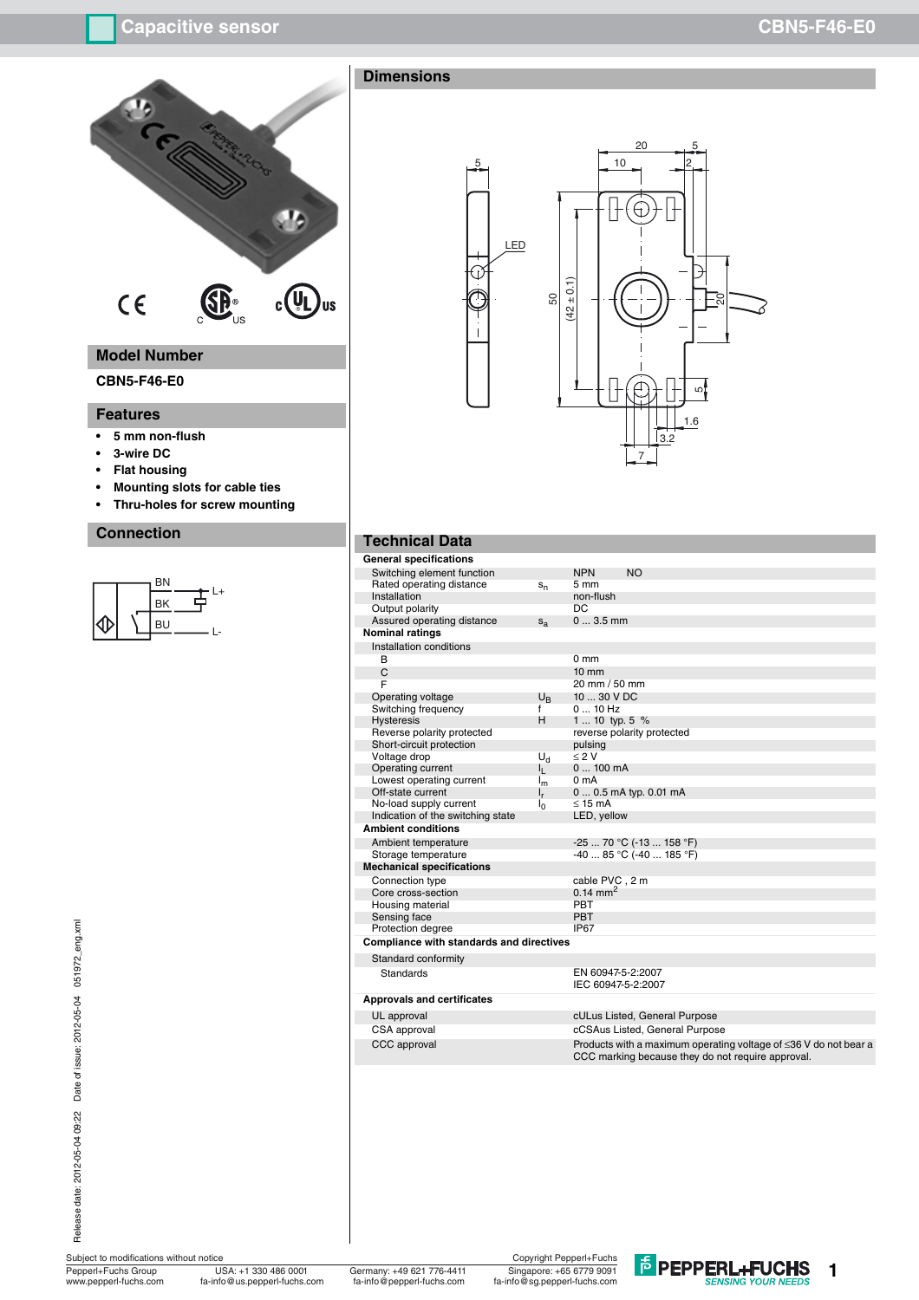

# **Model Number**

### **CBN5-F46-E0**

### **Features**

- **5 mm non-flush**
- **3-wire DC**
- **Flat housing**
- **Mounting slots for cable ties**
- **Thru-holes for screw mounting**

### **Connection**

### BN<br>BK 古 ⇕ **BU**  $\mathbf{L}$  $\overline{\phantom{0}}$

Release date: 2012-05-04 09:22 Date of issue: 2012-05-04 051972\_eng.xml Release date: 2012-05-04 09:22 Date of issue: 2012-05-04 051972\_eng.xml

Subject to modifications without notice Pepperl+Fuchs Group<br>www.pepperl-fuchs.com USA: +1 330 486 0001

www.pepperl-fuchs.com fa-info@us.pepperl-fuchs.com fa-info@pepperl-fuchs.com

Germany: +49 621 776-4411<br>fa-info@pepperl-fuchs.com

Singapore: +65 6779 9091 fa-info@sg.pepperl-fuchs.com Copyright Pepperl+Fuchs



### **Dimensions**



# **Technical Data**

| <b>General specifications</b>            |                |                            |                                                                  |
|------------------------------------------|----------------|----------------------------|------------------------------------------------------------------|
| Switching element function               |                | <b>NPN</b>                 | <b>NO</b>                                                        |
| Rated operating distance                 | $s_{n}$        | 5 mm                       |                                                                  |
| Installation                             |                | non-flush                  |                                                                  |
| Output polarity                          |                | DC                         |                                                                  |
| Assured operating distance               | $S_{A}$        | $03.5$ mm                  |                                                                  |
| <b>Nominal ratings</b>                   |                |                            |                                                                  |
| Installation conditions                  |                |                            |                                                                  |
| в                                        |                | 0 <sub>mm</sub>            |                                                                  |
| C                                        |                | $10 \text{ mm}$            |                                                                  |
| F                                        |                | 20 mm / 50 mm              |                                                                  |
| Operating voltage                        | $U_{R}$        | 10  30 V DC                |                                                                  |
| Switching frequency                      | f              | $010$ Hz                   |                                                                  |
| <b>Hysteresis</b>                        | H              | 1  10 typ. 5 $%$           |                                                                  |
| Reverse polarity protected               |                | reverse polarity protected |                                                                  |
| Short-circuit protection                 |                | pulsing                    |                                                                  |
| Voltage drop                             | $U_{\rm d}$    | $\leq 2$ V                 |                                                                  |
| Operating current                        | ı.             | $0100$ mA                  |                                                                  |
| Lowest operating current                 | $I_{m}$        | 0 mA                       |                                                                  |
| Off-state current                        | $I_r$          |                            | $00.5$ mA typ. 0.01 mA                                           |
| No-load supply current                   | ۱ <sub>0</sub> | $\leq$ 15 mA               |                                                                  |
| Indication of the switching state        |                | LED, yellow                |                                                                  |
| <b>Ambient conditions</b>                |                |                            |                                                                  |
| Ambient temperature                      |                |                            | -25  70 °C (-13  158 °F)                                         |
| Storage temperature                      |                |                            | $-4085$ °C ( $-40185$ °F)                                        |
| <b>Mechanical specifications</b>         |                |                            |                                                                  |
| Connection type                          |                | cable PVC, 2 m             |                                                                  |
| Core cross-section                       |                | $0.14 \text{ mm}^2$        |                                                                  |
| Housing material                         |                | <b>PBT</b>                 |                                                                  |
| Sensing face                             |                | <b>PBT</b>                 |                                                                  |
| Protection degree                        |                | IP67                       |                                                                  |
| Compliance with standards and directives |                |                            |                                                                  |
| Standard conformity                      |                |                            |                                                                  |
| Standards                                |                | EN 60947-5-2:2007          |                                                                  |
|                                          |                | IEC 60947-5-2:2007         |                                                                  |
| <b>Approvals and certificates</b>        |                |                            |                                                                  |
| UL approval                              |                |                            | cULus Listed, General Purpose                                    |
| CSA approval                             |                |                            | cCSAus Listed, General Purpose                                   |
| CCC approval                             |                |                            | Products with a maximum operating voltage of ≤36 V do not bear a |
|                                          |                |                            | CCC marking because they do not require approval.                |
|                                          |                |                            |                                                                  |
|                                          |                |                            |                                                                  |
|                                          |                |                            |                                                                  |
|                                          |                |                            |                                                                  |